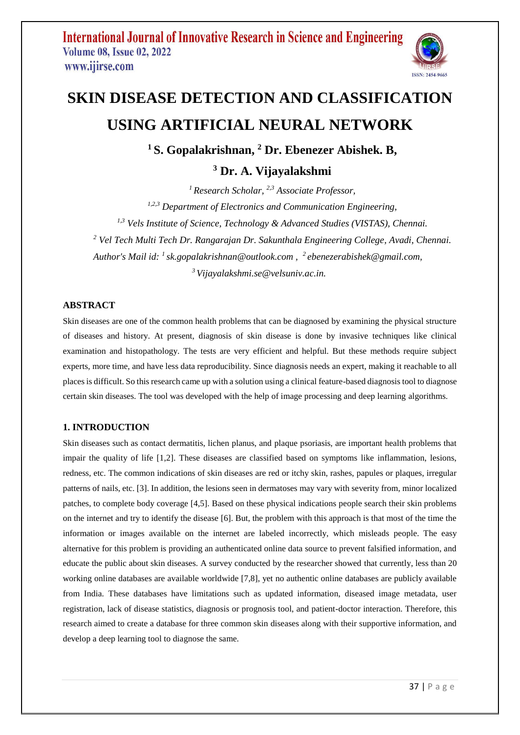

# **SKIN DISEASE DETECTION AND CLASSIFICATION USING ARTIFICIAL NEURAL NETWORK**

**<sup>1</sup>S. Gopalakrishnan, <sup>2</sup> Dr. Ebenezer Abishek. B,** 

**<sup>3</sup> Dr. A. Vijayalakshmi**

*<sup>1</sup>Research Scholar, 2,3 Associate Professor,*

*1,2,3 Department of Electronics and Communication Engineering,* 

*1,3 Vels Institute of Science, Technology & Advanced Studies (VISTAS), Chennai.*

*<sup>2</sup> Vel Tech Multi Tech Dr. Rangarajan Dr. Sakunthala Engineering College, Avadi, Chennai.*

*Author's Mail id: <sup>1</sup>sk.gopalakrishnan@outlook.com , <sup>2</sup>ebenezerabishek@gmail.com,*

*<sup>3</sup>Vijayalakshmi.se@velsuniv.ac.in.*

#### **ABSTRACT**

Skin diseases are one of the common health problems that can be diagnosed by examining the physical structure of diseases and history. At present, diagnosis of skin disease is done by invasive techniques like clinical examination and histopathology. The tests are very efficient and helpful. But these methods require subject experts, more time, and have less data reproducibility. Since diagnosis needs an expert, making it reachable to all places is difficult. So this research came up with a solution using a clinical feature-based diagnosis tool to diagnose certain skin diseases. The tool was developed with the help of image processing and deep learning algorithms.

### **1. INTRODUCTION**

Skin diseases such as contact dermatitis, lichen planus, and plaque psoriasis, are important health problems that impair the quality of life [1,2]. These diseases are classified based on symptoms like inflammation, lesions, redness, etc. The common indications of skin diseases are red or itchy skin, rashes, papules or plaques, irregular patterns of nails, etc. [3]. In addition, the lesions seen in dermatoses may vary with severity from, minor localized patches, to complete body coverage [4,5]. Based on these physical indications people search their skin problems on the internet and try to identify the disease [6]. But, the problem with this approach is that most of the time the information or images available on the internet are labeled incorrectly, which misleads people. The easy alternative for this problem is providing an authenticated online data source to prevent falsified information, and educate the public about skin diseases. A survey conducted by the researcher showed that currently, less than 20 working online databases are available worldwide [7,8], yet no authentic online databases are publicly available from India. These databases have limitations such as updated information, diseased image metadata, user registration, lack of disease statistics, diagnosis or prognosis tool, and patient-doctor interaction. Therefore, this research aimed to create a database for three common skin diseases along with their supportive information, and develop a deep learning tool to diagnose the same.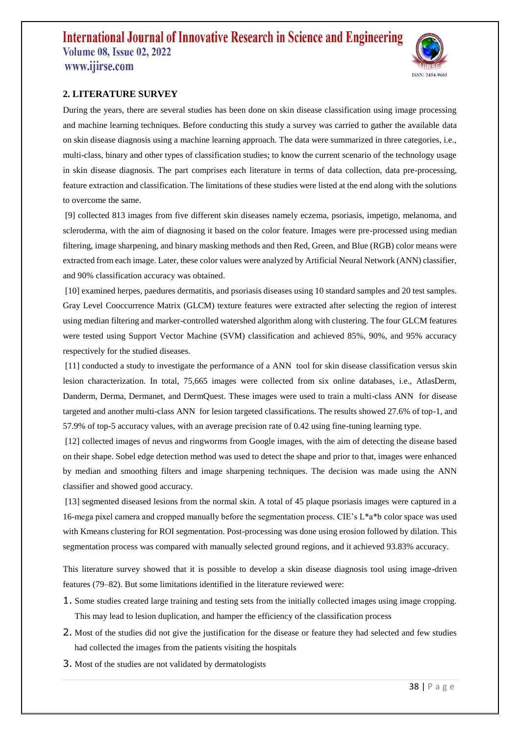

### **2. LITERATURE SURVEY**

During the years, there are several studies has been done on skin disease classification using image processing and machine learning techniques. Before conducting this study a survey was carried to gather the available data on skin disease diagnosis using a machine learning approach. The data were summarized in three categories, i.e., multi-class, binary and other types of classification studies; to know the current scenario of the technology usage in skin disease diagnosis. The part comprises each literature in terms of data collection, data pre-processing, feature extraction and classification. The limitations of these studies were listed at the end along with the solutions to overcome the same.

[9] collected 813 images from five different skin diseases namely eczema, psoriasis, impetigo, melanoma, and scleroderma, with the aim of diagnosing it based on the color feature. Images were pre-processed using median filtering, image sharpening, and binary masking methods and then Red, Green, and Blue (RGB) color means were extracted from each image. Later, these color values were analyzed by Artificial Neural Network (ANN) classifier, and 90% classification accuracy was obtained.

[10] examined herpes, paedures dermatitis, and psoriasis diseases using 10 standard samples and 20 test samples. Gray Level Cooccurrence Matrix (GLCM) texture features were extracted after selecting the region of interest using median filtering and marker-controlled watershed algorithm along with clustering. The four GLCM features were tested using Support Vector Machine (SVM) classification and achieved 85%, 90%, and 95% accuracy respectively for the studied diseases.

[11] conducted a study to investigate the performance of a ANN tool for skin disease classification versus skin lesion characterization. In total, 75,665 images were collected from six online databases, i.e., AtlasDerm, Danderm, Derma, Dermanet, and DermQuest. These images were used to train a multi-class ANN for disease targeted and another multi-class ANN for lesion targeted classifications. The results showed 27.6% of top-1, and 57.9% of top-5 accuracy values, with an average precision rate of 0.42 using fine-tuning learning type.

[12] collected images of nevus and ringworms from Google images, with the aim of detecting the disease based on their shape. Sobel edge detection method was used to detect the shape and prior to that, images were enhanced by median and smoothing filters and image sharpening techniques. The decision was made using the ANN classifier and showed good accuracy.

[13] segmented diseased lesions from the normal skin. A total of 45 plaque psoriasis images were captured in a 16-mega pixel camera and cropped manually before the segmentation process. CIE's L\*a\*b color space was used with Kmeans clustering for ROI segmentation. Post-processing was done using erosion followed by dilation. This segmentation process was compared with manually selected ground regions, and it achieved 93.83% accuracy.

This literature survey showed that it is possible to develop a skin disease diagnosis tool using image-driven features (79–82). But some limitations identified in the literature reviewed were:

- 1. Some studies created large training and testing sets from the initially collected images using image cropping. This may lead to lesion duplication, and hamper the efficiency of the classification process
- 2. Most of the studies did not give the justification for the disease or feature they had selected and few studies had collected the images from the patients visiting the hospitals
- 3. Most of the studies are not validated by dermatologists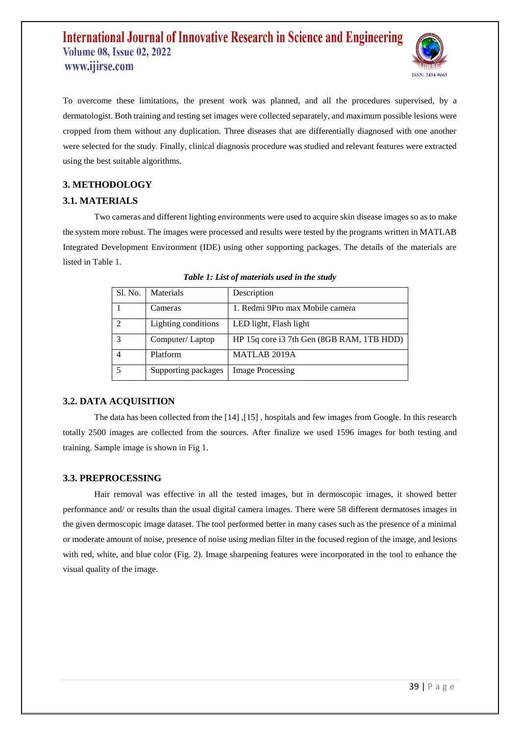

To overcome these limitations, the present work was planned, and all the procedures supervised, by a dermatologist. Both training and testing set images were collected separately, and maximum possible lesions were cropped from them without any duplication. Three diseases that are differentially diagnosed with one another were selected for the study. Finally, clinical diagnosis procedure was studied and relevant features were extracted using the best suitable algorithms.

### **3. METHODOLOGY**

### **3.1. MATERIALS**

Two cameras and different lighting environments were used to acquire skin disease images so as to make the system more robust. The images were processed and results were tested by the programs written in MATLAB Integrated Development Environment (IDE) using other supporting packages. The details of the materials are listed in Table 1.

| Sl. No. | Materials           | Description                               |
|---------|---------------------|-------------------------------------------|
|         | Cameras             | 1. Redmi 9Pro max Mobile camera           |
|         | Lighting conditions | LED light, Flash light                    |
| 3       | Computer/Laptop     | HP 15q core i3 7th Gen (8GB RAM, 1TB HDD) |
|         | Platform            | <b>MATLAB 2019A</b>                       |
|         | Supporting packages | <b>Image Processing</b>                   |

|  |  | Table 1: List of materials used in the study |  |  |
|--|--|----------------------------------------------|--|--|
|  |  |                                              |  |  |

#### **3.2. DATA ACQUISITION**

The data has been collected from the [14] ,[15] , hospitals and few images from Google. In this research totally 2500 images are collected from the sources. After finalize we used 1596 images for both testing and training. Sample image is shown in Fig 1.

#### **3.3. PREPROCESSING**

Hair removal was effective in all the tested images, but in dermoscopic images, it showed better performance and/ or results than the usual digital camera images. There were 58 different dermatoses images in the given dermoscopic image dataset. The tool performed better in many cases such as the presence of a minimal or moderate amount of noise, presence of noise using median filter in the focused region of the image, and lesions with red, white, and blue color (Fig. 2). Image sharpening features were incorporated in the tool to enhance the visual quality of the image.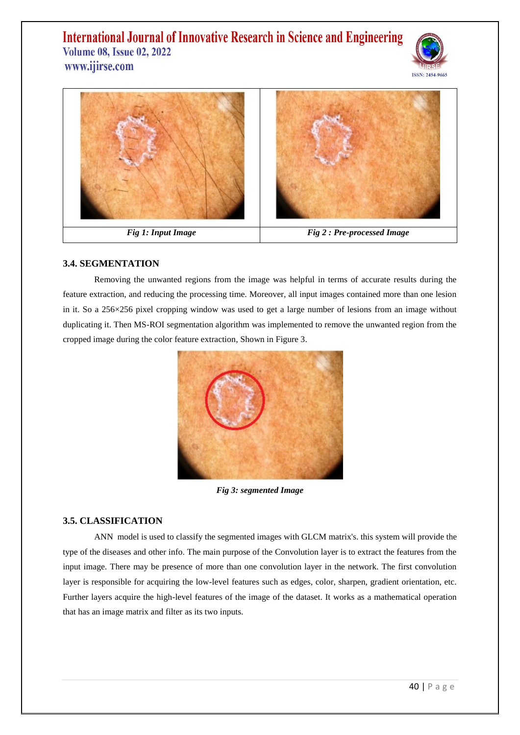



### **3.4. SEGMENTATION**

Removing the unwanted regions from the image was helpful in terms of accurate results during the feature extraction, and reducing the processing time. Moreover, all input images contained more than one lesion in it. So a 256×256 pixel cropping window was used to get a large number of lesions from an image without duplicating it. Then MS-ROI segmentation algorithm was implemented to remove the unwanted region from the cropped image during the color feature extraction, Shown in Figure 3.



*Fig 3: segmented Image*

#### **3.5. CLASSIFICATION**

ANN model is used to classify the segmented images with GLCM matrix's. this system will provide the type of the diseases and other info. The main purpose of the Convolution layer is to extract the features from the input image. There may be presence of more than one convolution layer in the network. The first convolution layer is responsible for acquiring the low-level features such as edges, color, sharpen, gradient orientation, etc. Further layers acquire the high-level features of the image of the dataset. It works as a mathematical operation that has an image matrix and filter as its two inputs.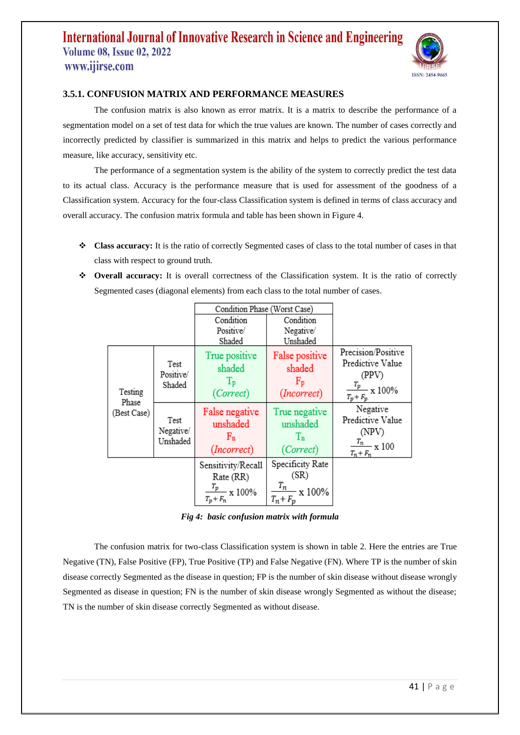

### **3.5.1. CONFUSION MATRIX AND PERFORMANCE MEASURES**

The confusion matrix is also known as error matrix. It is a matrix to describe the performance of a segmentation model on a set of test data for which the true values are known. The number of cases correctly and incorrectly predicted by classifier is summarized in this matrix and helps to predict the various performance measure, like accuracy, sensitivity etc.

The performance of a segmentation system is the ability of the system to correctly predict the test data to its actual class. Accuracy is the performance measure that is used for assessment of the goodness of a Classification system. Accuracy for the four-class Classification system is defined in terms of class accuracy and overall accuracy. The confusion matrix formula and table has been shown in Figure 4.

- **Class accuracy:** It is the ratio of correctly Segmented cases of class to the total number of cases in that class with respect to ground truth.
- ◆ **Overall accuracy:** It is overall correctness of the Classification system. It is the ratio of correctly Segmented cases (diagonal elements) from each class to the total number of cases.

|                                 |                               | Condition Phase (Worst Case)                                             |                                                                   |                                                                                    |
|---------------------------------|-------------------------------|--------------------------------------------------------------------------|-------------------------------------------------------------------|------------------------------------------------------------------------------------|
|                                 |                               | Condition                                                                | Condition                                                         |                                                                                    |
|                                 |                               | Positive/                                                                | Negative/                                                         |                                                                                    |
|                                 |                               | Shaded                                                                   | Unshaded                                                          |                                                                                    |
| Testing<br>Phase<br>(Best Case) | Test<br>Positive/<br>Shaded   | True positive<br>shaded                                                  | False positive<br>shaded                                          | Precision/Positive<br>Predictive Value<br>(PPV)                                    |
|                                 |                               | $T_{\rm p}$<br>(Correct)                                                 | $F_{\text{p}}$<br>(Incorrect)                                     | $\frac{T_p}{T}$ x 100%<br>$T_p + F_p$                                              |
|                                 | Test<br>Negative/<br>Unshaded | False negative<br>unshaded<br>$F_n$<br>(Incorrect)                       | True negative<br>unshaded<br>$T_{n}$<br>(Correct)                 | Negative<br>Predictive Value<br>(NPV)<br>$\frac{T_n}{T} \times 100$<br>$T_n + F_n$ |
|                                 |                               | Sensitivity/Recall<br>Rate (RR)<br>$\frac{T_p}{T}$ x 100%<br>$T_p + F_n$ | Specificity Rate<br>(SR)<br>$\frac{T_n}{T}$ x 100%<br>$T_n + F_p$ |                                                                                    |

*Fig 4: basic confusion matrix with formula*

The confusion matrix for two-class Classification system is shown in table 2. Here the entries are True Negative (TN), False Positive (FP), True Positive (TP) and False Negative (FN). Where TP is the number of skin disease correctly Segmented as the disease in question; FP is the number of skin disease without disease wrongly Segmented as disease in question; FN is the number of skin disease wrongly Segmented as without the disease; TN is the number of skin disease correctly Segmented as without disease.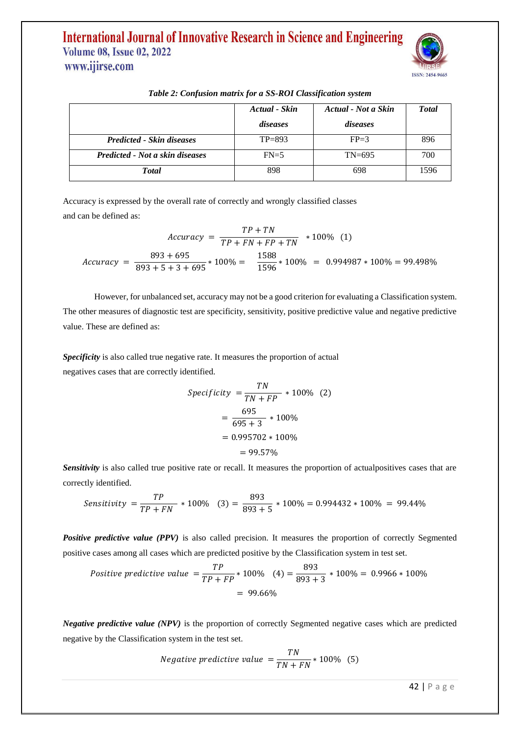

|                                  | Actual - Skin | Actual - Not a Skin | <b>Total</b> |
|----------------------------------|---------------|---------------------|--------------|
|                                  | diseases      | diseases            |              |
| <b>Predicted - Skin diseases</b> | $TP = 893$    | $FP=3$              | 896          |
| Predicted - Not a skin diseases  | $FN=5$        | $TN = 695$          | 700          |
| <b>T</b> otal                    | 898           | 698                 | 1596         |

#### *Table 2: Confusion matrix for a SS-ROI Classification system*

Accuracy is expressed by the overall rate of correctly and wrongly classified classes and can be defined as:

$$
Accuracy = \frac{TP + TN}{TP + FN + FP + TN} * 100\% (1)
$$
  
Accuracy = 
$$
\frac{893 + 695}{893 + 5 + 3 + 695} * 100\% = \frac{1588}{1596} * 100\% = 0.994987 * 100\% = 99.498\%
$$

However, for unbalanced set, accuracy may not be a good criterion for evaluating a Classification system. The other measures of diagnostic test are specificity, sensitivity, positive predictive value and negative predictive value. These are defined as:

*Specificity* is also called true negative rate. It measures the proportion of actual negatives cases that are correctly identified.

$$
Specificity = \frac{TN}{TN + FP} * 100\% \quad (2)
$$

$$
= \frac{695}{695 + 3} * 100\% = 0.995702 * 100\% = 99.57\%
$$

*Sensitivity* is also called true positive rate or recall. It measures the proportion of actualpositives cases that are correctly identified.

$$
Sensitivity = \frac{TP}{TP + FN} * 100\% \quad (3) = \frac{893}{893 + 5} * 100\% = 0.994432 * 100\% = 99.44\%
$$

*Positive predictive value (PPV)* is also called precision. It measures the proportion of correctly Segmented positive cases among all cases which are predicted positive by the Classification system in test set.

Positive predictive value 
$$
=
$$
  $\frac{TP}{TP + FP} * 100\% \quad (4) = \frac{893}{893 + 3} * 100\% = 0.9966 * 100\%$   
= 99.66%

*Negative predictive value (NPV)* is the proportion of correctly Segmented negative cases which are predicted negative by the Classification system in the test set.

Negative predictive value = 
$$
\frac{TN}{TN + FN} * 100\% \quad (5)
$$

42 | P a g e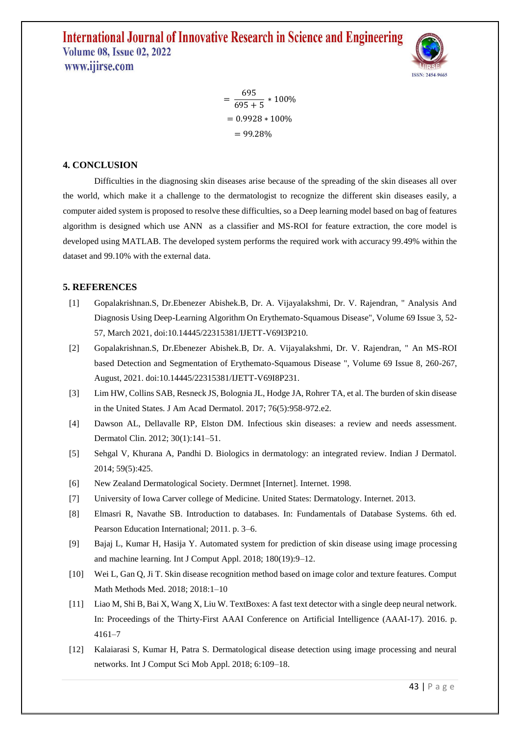

 $=\frac{695}{605}$  $\frac{1}{695+5}$  \* 100%  $= 0.9928 * 100\%$  $= 99.28%$ 

#### **4. CONCLUSION**

Difficulties in the diagnosing skin diseases arise because of the spreading of the skin diseases all over the world, which make it a challenge to the dermatologist to recognize the different skin diseases easily, a computer aided system is proposed to resolve these difficulties, so a Deep learning model based on bag of features algorithm is designed which use ANN as a classifier and MS-ROI for feature extraction, the core model is developed using MATLAB. The developed system performs the required work with accuracy 99.49% within the dataset and 99.10% with the external data.

#### **5. REFERENCES**

- [1] Gopalakrishnan.S, Dr.Ebenezer Abishek.B, Dr. A. Vijayalakshmi, Dr. V. Rajendran, " Analysis And Diagnosis Using Deep-Learning Algorithm On Erythemato-Squamous Disease", Volume 69 Issue 3, 52- 57, March 2021, doi:10.14445/22315381/IJETT-V69I3P210.
- [2] Gopalakrishnan.S, Dr.Ebenezer Abishek.B, Dr. A. Vijayalakshmi, Dr. V. Rajendran, " An MS-ROI based Detection and Segmentation of Erythemato-Squamous Disease ", Volume 69 Issue 8, 260-267, August, 2021. doi:10.14445/22315381/IJETT-V69I8P231.
- [3] Lim HW, Collins SAB, Resneck JS, Bolognia JL, Hodge JA, Rohrer TA, et al. The burden of skin disease in the United States. J Am Acad Dermatol. 2017; 76(5):958-972.e2.
- [4] Dawson AL, Dellavalle RP, Elston DM. Infectious skin diseases: a review and needs assessment. Dermatol Clin. 2012; 30(1):141–51.
- [5] Sehgal V, Khurana A, Pandhi D. Biologics in dermatology: an integrated review. Indian J Dermatol. 2014; 59(5):425.
- [6] New Zealand Dermatological Society. Dermnet [Internet]. Internet. 1998.
- [7] University of Iowa Carver college of Medicine. United States: Dermatology. Internet. 2013.
- [8] Elmasri R, Navathe SB. Introduction to databases. In: Fundamentals of Database Systems. 6th ed. Pearson Education International; 2011. p. 3–6.
- [9] Bajaj L, Kumar H, Hasija Y. Automated system for prediction of skin disease using image processing and machine learning. Int J Comput Appl. 2018; 180(19):9–12.
- [10] Wei L, Gan Q, Ji T. Skin disease recognition method based on image color and texture features. Comput Math Methods Med. 2018; 2018:1–10
- [11] Liao M, Shi B, Bai X, Wang X, Liu W. TextBoxes: A fast text detector with a single deep neural network. In: Proceedings of the Thirty-First AAAI Conference on Artificial Intelligence (AAAI-17). 2016. p. 4161–7
- [12] Kalaiarasi S, Kumar H, Patra S. Dermatological disease detection using image processing and neural networks. Int J Comput Sci Mob Appl. 2018; 6:109–18.